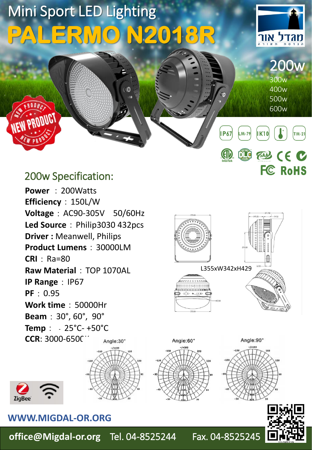

**office@Migdal-or.org** Tel. 04-8525244 Fax. 04-8525245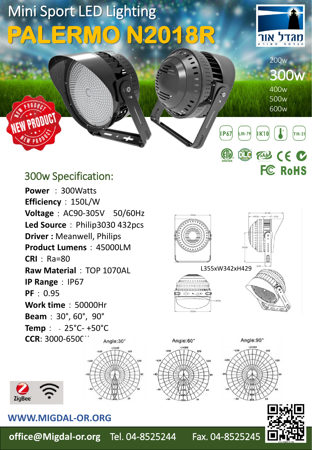

**office@Migdal-or.org** Tel. 04-8525244 Fax. 04-8525245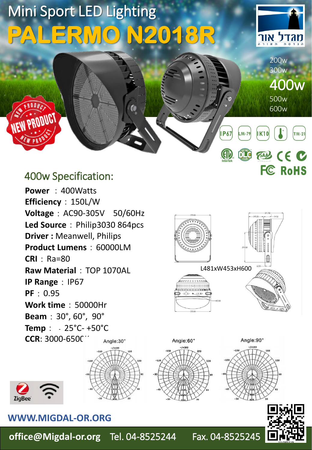Mini Sport LED Lighting **PALERMO N2018R**



200w 300w

500w 600w

**EAD CE C** 

**FC RoHS** 

**IK10** 

400w

 $TM-21$ 

# 400w Specification:

PRODUCT

**Power** : 400Watts **Efficiency**:150L/W **Voltage**:AC90-305V 50/60Hz Led Source: Philip3030 864pcs **Driver :** Meanwell, Philips **Product Lumens**:60000LM **CRI**: Ra=80 **Raw Material: TOP 1070AL IP Range**: IP67 **PF**:0.95 **Work time**:50000Hr **Beam**:30°, 60°, 90° **Temp**:﹣25°C- +50°C  $CCR: 3000-650C$ Angle:30°





### **WWW.MIGDAL-OR.ORG**

**office@Migdal-or.org** Tel. 04-8525244 Fax. 04-8525245

L481xW453xH600

Angle:90°

<u>ושמוצר ברובד</u>

Angle:60°

**IP67** 

 $\mathbb{Q}$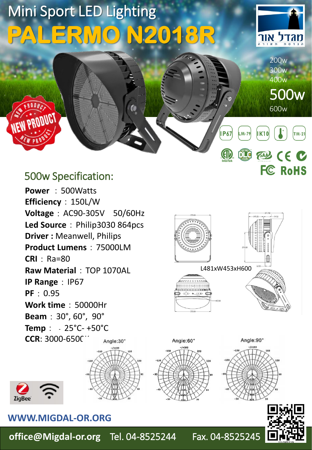Mini Sport LED Lighting **PALERMO N2018R**



200w 300w 400w

600w

**EAD CE C** 

**FC RoHS** 

**IK10** 

500w

 $TM-21$ 

# 500w Specification:

PRODUCT

Power: 500Watts **Efficiency**:150L/W **Voltage**:AC90-305V 50/60Hz Led Source: Philip3030 864pcs **Driver :** Meanwell, Philips **Product Lumens**:75000LM **CRI**: Ra=80 **Raw Material: TOP 1070AL IP Range**: IP67 **PF**:0.95 **Work time**:50000Hr **Beam**:30°, 60°, 90° **Temp**:﹣25°C- +50°C  $CCR: 3000-650C$ Angle:30°





**ZigBee** 

**office@Migdal-or.org** Tel. 04-8525244 Fax. 04-8525245

L481xW453xH600

Angle:90°

<u>ושמוצר ברובד</u>

Angle:60°

**IP67** 

 $\mathbb{U}$